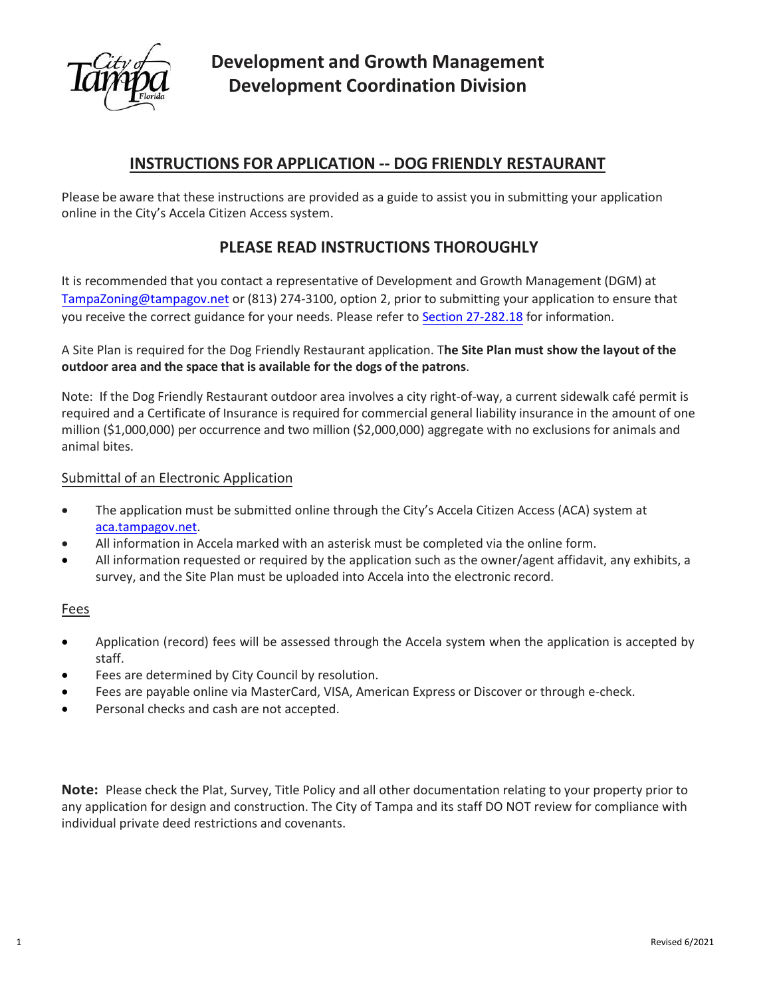

# **INSTRUCTIONS FOR APPLICATION -- DOG FRIENDLY RESTAURANT**

Please be aware that these instructions are provided as a guide to assist you in submitting your application online in the City's Accela Citizen Access system.

# **PLEASE READ INSTRUCTIONS THOROUGHLY**

It is recommended that you contact a representative of Development and Growth Management (DGM) at [TampaZoning@tampagov.net](mailto:TampaZoning@tampagov.net) or (813) 274-3100, option 2, prior to submitting your application to ensure that you receive the correct guidance for your needs. Please refer to [Section 27-282.18](https://library.municode.com/fl/tampa/codes/code_of_ordinances?nodeId=COOR_CH27ZOLADE_ARTVISURE_DIV2RESPUS_S27-282.18DIERE) for information.

A Site Plan is required for the Dog Friendly Restaurant application. T**he Site Plan must show the layout of the outdoor area and the space that is available for the dogs of the patrons**.

Note: If the Dog Friendly Restaurant outdoor area involves a city right-of-way, a current sidewalk café permit is required and a Certificate of Insurance is required for commercial general liability insurance in the amount of one million (\$1,000,000) per occurrence and two million (\$2,000,000) aggregate with no exclusions for animals and animal bites.

## Submittal of an Electronic Application

- The application must be submitted online through the City's Accela Citizen Access (ACA) system at [aca.tampagov.net.](https://aca.tampagov.net/citizenaccess/default.aspx)
- All information in Accela marked with an asterisk must be completed via the online form.
- All information requested or required by the application such as the owner/agent affidavit, any exhibits, a survey, and the Site Plan must be uploaded into Accela into the electronic record.

### Fees

- Application (record) fees will be assessed through the Accela system when the application is accepted by staff.
- Fees are determined by City Council by resolution.
- Fees are payable online via MasterCard, VISA, American Express or Discover or through e-check.
- Personal checks and cash are not accepted.

**Note:** Please check the Plat, Survey, Title Policy and all other documentation relating to your property prior to any application for design and construction. The City of Tampa and its staff DO NOT review for compliance with individual private deed restrictions and covenants.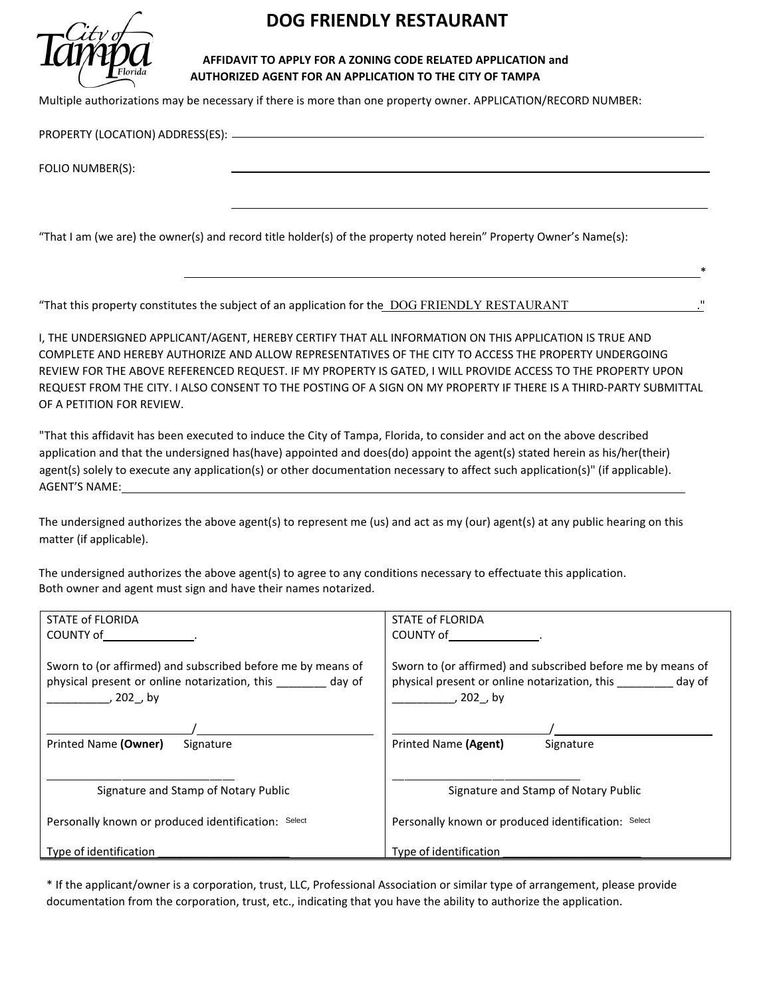

# **DOG FRIENDLY RESTAURANT**

#### **AFFIDAVIT TO APPLY FOR A ZONING CODE RELATED APPLICATION and AUTHORIZED AGENT FOR AN APPLICATION TO THE CITY OF TAMPA**

Multiple authorizations may be necessary if there is more than one property owner. APPLICATION/RECORD NUMBER:

PROPERTY (LOCATION) ADDRESS(ES):

FOLIO NUMBER(S):

"That I am (we are) the owner(s) and record title holder(s) of the property noted herein" Property Owner's Name(s):

"That this property constitutes the subject of an application for the DOG FRIENDLY RESTAURANT

I, THE UNDERSIGNED APPLICANT/AGENT, HEREBY CERTIFY THAT ALL INFORMATION ON THIS APPLICATION IS TRUE AND COMPLETE AND HEREBY AUTHORIZE AND ALLOW REPRESENTATIVES OF THE CITY TO ACCESS THE PROPERTY UNDERGOING REVIEW FOR THE ABOVE REFERENCED REQUEST. IF MY PROPERTY IS GATED, I WILL PROVIDE ACCESS TO THE PROPERTY UPON REQUEST FROM THE CITY. I ALSO CONSENT TO THE POSTING OF A SIGN ON MY PROPERTY IF THERE IS A THIRD-PARTY SUBMITTAL OF A PETITION FOR REVIEW.

 $*$ 

"That this affidavit has been executed to induce the City of Tampa, Florida, to consider and act on the above described application and that the undersigned has(have) appointed and does(do) appoint the agent(s) stated herein as his/her(their) agent(s) solely to execute any application(s) or other documentation necessary to affect such application(s)" (if applicable). AGENT'S NAME:

The undersigned authorizes the above agent(s) to represent me (us) and act as my (our) agent(s) at any public hearing on this matter (if applicable).

The undersigned authorizes the above agent(s) to agree to any conditions necessary to effectuate this application. Both owner and agent must sign and have their names notarized.

| STATE of FLORIDA                                                                                                                                                                                                               | STATE of FLORIDA                                                                                                                |  |  |
|--------------------------------------------------------------------------------------------------------------------------------------------------------------------------------------------------------------------------------|---------------------------------------------------------------------------------------------------------------------------------|--|--|
| COUNTY of the country of the country of the country of the country of the country of the country of the country of the country of the country of the country of the country of the country of the country of the country of th | COUNTY of the country of                                                                                                        |  |  |
| Sworn to (or affirmed) and subscribed before me by means of<br>physical present or online notarization, this day of<br>, 202,by                                                                                                | Sworn to (or affirmed) and subscribed before me by means of<br>physical present or online notarization, this day of<br>, 202,by |  |  |
|                                                                                                                                                                                                                                |                                                                                                                                 |  |  |
| Printed Name (Owner)<br>Signature                                                                                                                                                                                              | Printed Name (Agent)<br>Signature                                                                                               |  |  |
| Signature and Stamp of Notary Public                                                                                                                                                                                           | Signature and Stamp of Notary Public                                                                                            |  |  |
| Personally known or produced identification: Select                                                                                                                                                                            | Personally known or produced identification: Select                                                                             |  |  |
| Type of identification                                                                                                                                                                                                         | Type of identification                                                                                                          |  |  |

\* If the applicant/owner is a corporation, trust, LLC, Professional Association or similar type of arrangement, please provide documentation from the corporation, trust, etc., indicating that you have the ability to authorize the application.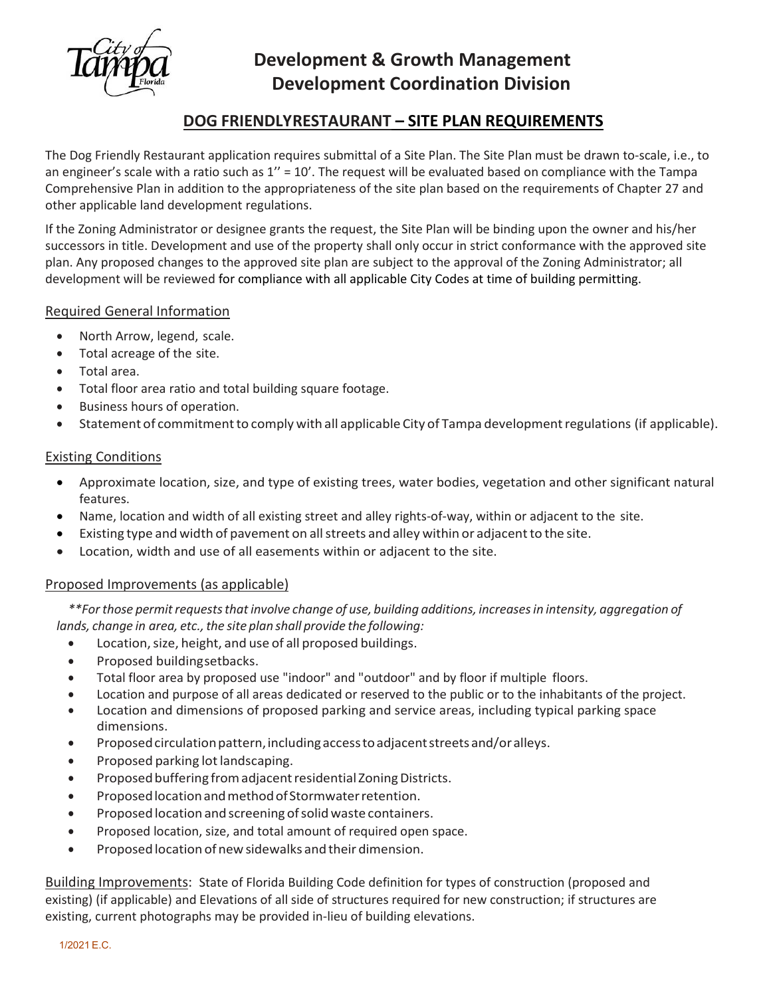

# **Development & Growth Management Development Coordination Division**

## **DOG FRIENDLY RESTAURANT – SITE PLAN REQUIREMENTS**

The Dog Friendly Restaurant application requires submittal of a Site Plan. The Site Plan must be drawn to-scale, i.e., to an engineer's scale with a ratio such as  $1'' = 10'$ . The request will be evaluated based on compliance with the Tampa Comprehensive Plan in addition to the appropriateness of the site plan based on the requirements of Chapter 27 and other applicable land development regulations.

If the Zoning Administrator or designee grants the request, the Site Plan will be binding upon the owner and his/her successors in title. Development and use of the property shall only occur in strict conformance with the approved site plan. Any proposed changes to the approved site plan are subject to the approval of the Zoning Administrator; all development will be reviewed for compliance with all applicable City Codes at time of building permitting.

## Required General Information

- North Arrow, legend, scale.
- Total acreage of the site.
- Total area.
- Total floor area ratio and total building square footage.
- Business hours of operation.
- Statement of commitment to comply with all applicable City of Tampa development regulations (if applicable).

### Existing Conditions

- Approximate location, size, and type of existing trees, water bodies, vegetation and other significant natural features.
- Name, location and width of all existing street and alley rights-of-way, within or adjacent to the site.
- Existing type and width of pavement on all streets and alley within or adjacent to the site.
- Location, width and use of all easements within or adjacent to the site.

### Proposed Improvements (as applicable)

*\*\*Forthose permitrequeststhatinvolve change of use, building additions, increasesin intensity, aggregation of lands, change in area, etc., the site plan shall provide the following:* 

- Location, size, height, and use of all proposed buildings.
- Proposed buildingsetbacks.
- Total floor area by proposed use "indoor" and "outdoor" and by floor if multiple floors.
- Location and purpose of all areas dedicated or reserved to the public or to the inhabitants of the project.
- Location and dimensions of proposed parking and service areas, including typical parking space dimensions.
- Proposed circulation pattern, including access to adjacent streets and/or alleys.
- Proposed parking lot landscaping.
- Proposed buffering from adjacent residential Zoning Districts.
- ProposedlocationandmethodofStormwaterretention.
- Proposed location and screening of solid waste containers.
- Proposed location, size, and total amount of required open space.
- Proposed location of new sidewalks and their dimension.

Building Improvements: State of Florida Building Code definition for types of construction (proposed and existing) (if applicable) and Elevations of all side of structures required for new construction; if structures are existing, current photographs may be provided in-lieu of building elevations.